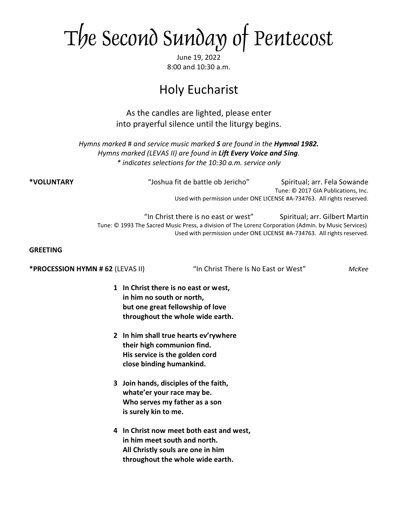The Second Sunday of Pentecost

June 19, 2022 8:00 and 10:30 a.m.

# Holy Eucharist

As the candles are lighted, please enter into prayerful silence until the liturgy begins.

*Hymns marked* # *and service music marked S are found in the Hymnal 1982. Hymns marked (LEVAS II) are found in Lift Every Voice and Sing. \* indicates selections for the 10:30 a.m. service only*

**\*VOLUNTARY** "Joshua fit de battle ob Jericho" Spiritual; arr. Fela Sowande Tune: © 2017 GIA Publications, Inc. Used with permission under ONE LICENSE #A-734763. All rights reserved.

> "In Christ there is no east or west" Spiritual; arr. Gilbert Martin Tune: © 1993 The Sacred Music Press, a division of The Lorenz Corporation (Admin. by Music Services) Used with permission under ONE LICENSE #A-734763. All rights reserved.

### **GREETING**

**\*PROCESSION HYMN # 62** (LEVAS II) "In Christ There Is No East or West" *McKee*

- **1 In Christ there is no east or west, in him no south or north, but one great fellowship of love throughout the whole wide earth.**
- **2 In him shall true hearts ev'rywhere their high communion find. His service is the golden cord close binding humankind.**
- **3 Join hands, disciples of the faith, whate'er your race may be. Who serves my father as a son is surely kin to me.**
- **4 In Christ now meet both east and west, in him meet south and north. All Christly souls are one in him throughout the whole wide earth.**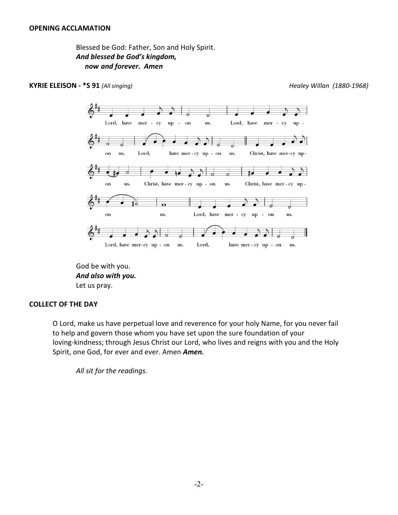# Blessed be God: Father, Son and Holy Spirit. *And blessed be God's kingdom, now and forever. Amen*

## **KYRIE ELEISON - \*S 91** *(All singing) Healey Willan (1880-1968)*



God be with you. *And also with you.* Let us pray.

# **COLLECT OF THE DAY**

O Lord, make us have perpetual love and reverence for your holy Name, for you never fail to help and govern those whom you have set upon the sure foundation of your loving-kindness; through Jesus Christ our Lord, who lives and reigns with you and the Holy Spirit, one God, for ever and ever. Amen *Amen.*

*All sit for the readings.*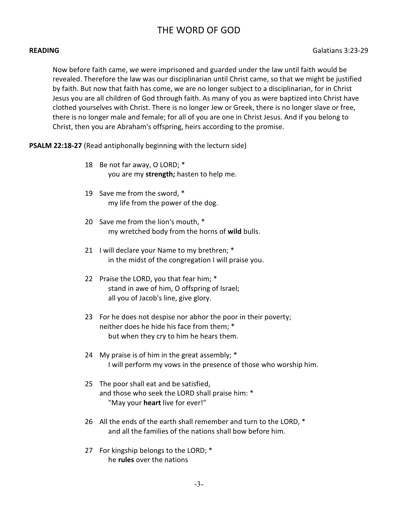# THE WORD OF GOD

Now before faith came, we were imprisoned and guarded under the law until faith would be revealed. Therefore the law was our disciplinarian until Christ came, so that we might be justified by faith. But now that faith has come, we are no longer subject to a disciplinarian, for in Christ Jesus you are all children of God through faith. As many of you as were baptized into Christ have clothed yourselves with Christ. There is no longer Jew or Greek, there is no longer slave or free, there is no longer male and female; for all of you are one in Christ Jesus. And if you belong to Christ, then you are Abraham's offspring, heirs according to the promise.

**PSALM 22:18-27** (Read antiphonally beginning with the lecturn side)

- 18 Be not far away, O LORD; \* you are my **strength;** hasten to help me.
- 19 Save me from the sword, \* my life from the power of the dog.
- 20 Save me from the lion's mouth, \* my wretched body from the horns of **wild** bulls.
- 21 I will declare your Name to my brethren; \* in the midst of the congregation I will praise you.
- 22 Praise the LORD, you that fear him; \* stand in awe of him, O offspring of Israel; all you of Jacob's line, give glory.
- 23 For he does not despise nor abhor the poor in their poverty; neither does he hide his face from them; \* but when they cry to him he hears them.
- 24 My praise is of him in the great assembly; \* I will perform my vows in the presence of those who worship him.
- 25 The poor shall eat and be satisfied, and those who seek the LORD shall praise him: \* "May your **heart** live for ever!"
- 26 All the ends of the earth shall remember and turn to the LORD, \* and all the families of the nations shall bow before him.
- 27 For kingship belongs to the LORD; \* he **rules** over the nations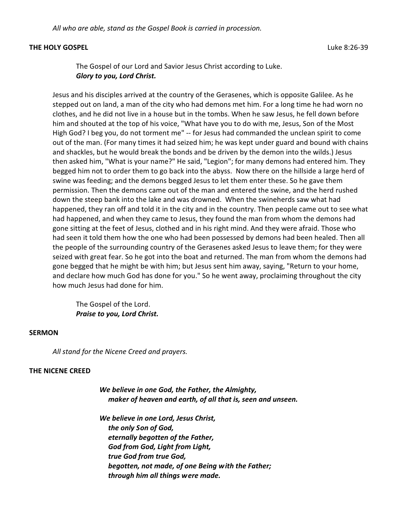### **THE HOLY GOSPEL** Luke 8:26-39

The Gospel of our Lord and Savior Jesus Christ according to Luke. *Glory to you, Lord Christ.*

Jesus and his disciples arrived at the country of the Gerasenes, which is opposite Galilee. As he stepped out on land, a man of the city who had demons met him. For a long time he had worn no clothes, and he did not live in a house but in the tombs. When he saw Jesus, he fell down before him and shouted at the top of his voice, "What have you to do with me, Jesus, Son of the Most High God? I beg you, do not torment me" -- for Jesus had commanded the unclean spirit to come out of the man. (For many times it had seized him; he was kept under guard and bound with chains and shackles, but he would break the bonds and be driven by the demon into the wilds.) Jesus then asked him, "What is your name?" He said, "Legion"; for many demons had entered him. They begged him not to order them to go back into the abyss. Now there on the hillside a large herd of swine was feeding; and the demons begged Jesus to let them enter these. So he gave them permission. Then the demons came out of the man and entered the swine, and the herd rushed down the steep bank into the lake and was drowned. When the swineherds saw what had happened, they ran off and told it in the city and in the country. Then people came out to see what had happened, and when they came to Jesus, they found the man from whom the demons had gone sitting at the feet of Jesus, clothed and in his right mind. And they were afraid. Those who had seen it told them how the one who had been possessed by demons had been healed. Then all the people of the surrounding country of the Gerasenes asked Jesus to leave them; for they were seized with great fear. So he got into the boat and returned. The man from whom the demons had gone begged that he might be with him; but Jesus sent him away, saying, "Return to your home, and declare how much God has done for you." So he went away, proclaiming throughout the city how much Jesus had done for him.

The Gospel of the Lord. *Praise to you, Lord Christ.*

### **SERMON**

*All stand for the Nicene Creed and prayers.*

### **THE NICENE CREED**

*We believe in one God, the Father, the Almighty, maker of heaven and earth, of all that is, seen and unseen.*

*We believe in one Lord, Jesus Christ, the only Son of God, eternally begotten of the Father, God from God, Light from Light, true God from true God, begotten, not made, of one Being with the Father; through him all things were made.*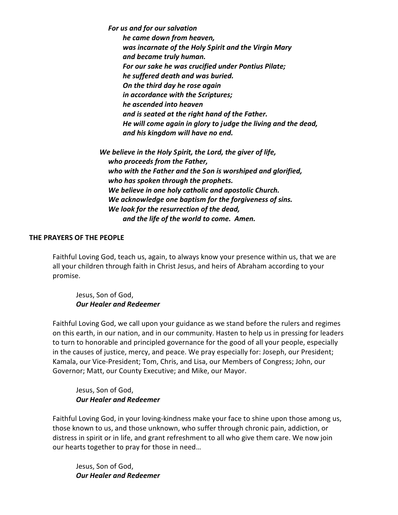*For us and for our salvation he came down from heaven, was incarnate of the Holy Spirit and the Virgin Mary and became truly human. For our sake he was crucified under Pontius Pilate; he suffered death and was buried. On the third day he rose again in accordance with the Scriptures; he ascended into heaven and is seated at the right hand of the Father. He will come again in glory to judge the living and the dead, and his kingdom will have no end. We believe in the Holy Spirit, the Lord, the giver of life, who proceeds from the Father,*

 *who with the Father and the Son is worshiped and glorified, who has spoken through the prophets. We believe in one holy catholic and apostolic Church. We acknowledge one baptism for the forgiveness of sins. We look for the resurrection of the dead, and the life of the world to come. Amen.*

# **THE PRAYERS OF THE PEOPLE**

Faithful Loving God, teach us, again, to always know your presence within us, that we are all your children through faith in Christ Jesus, and heirs of Abraham according to your promise.

Jesus, Son of God, *Our Healer and Redeemer*

Faithful Loving God, we call upon your guidance as we stand before the rulers and regimes on this earth, in our nation, and in our community. Hasten to help us in pressing for leaders to turn to honorable and principled governance for the good of all your people, especially in the causes of justice, mercy, and peace. We pray especially for: Joseph, our President; Kamala, our Vice-President; Tom, Chris, and Lisa, our Members of Congress; John, our Governor; Matt, our County Executive; and Mike, our Mayor.

Jesus, Son of God, *Our Healer and Redeemer*

Faithful Loving God, in your loving-kindness make your face to shine upon those among us, those known to us, and those unknown, who suffer through chronic pain, addiction, or distress in spirit or in life, and grant refreshment to all who give them care. We now join our hearts together to pray for those in need…

Jesus, Son of God, *Our Healer and Redeemer*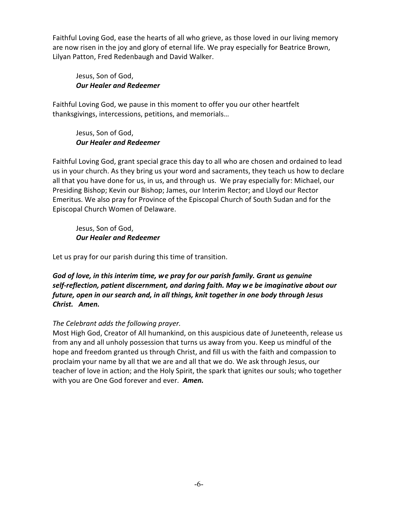Faithful Loving God, ease the hearts of all who grieve, as those loved in our living memory are now risen in the joy and glory of eternal life. We pray especially for Beatrice Brown, Lilyan Patton, Fred Redenbaugh and David Walker.

Jesus, Son of God, *Our Healer and Redeemer*

Faithful Loving God, we pause in this moment to offer you our other heartfelt thanksgivings, intercessions, petitions, and memorials…

Jesus, Son of God, *Our Healer and Redeemer*

Faithful Loving God, grant special grace this day to all who are chosen and ordained to lead us in your church. As they bring us your word and sacraments, they teach us how to declare all that you have done for us, in us, and through us. We pray especially for: Michael, our Presiding Bishop; Kevin our Bishop; James, our Interim Rector; and Lloyd our Rector Emeritus. We also pray for Province of the Episcopal Church of South Sudan and for the Episcopal Church Women of Delaware.

Jesus, Son of God, *Our Healer and Redeemer*

Let us pray for our parish during this time of transition.

*God of love, in this interim time, we pray for our parish family. Grant us genuine self-reflection, patient discernment, and daring faith. May we be imaginative about our future, open in our search and, in all things, knit together in one body through Jesus Christ. Amen.*

# *The Celebrant adds the following prayer.*

Most High God, Creator of All humankind, on this auspicious date of Juneteenth, release us from any and all unholy possession that turns us away from you. Keep us mindful of the hope and freedom granted us through Christ, and fill us with the faith and compassion to proclaim your name by all that we are and all that we do. We ask through Jesus, our teacher of love in action; and the Holy Spirit, the spark that ignites our souls; who together with you are One God forever and ever. *Amen.*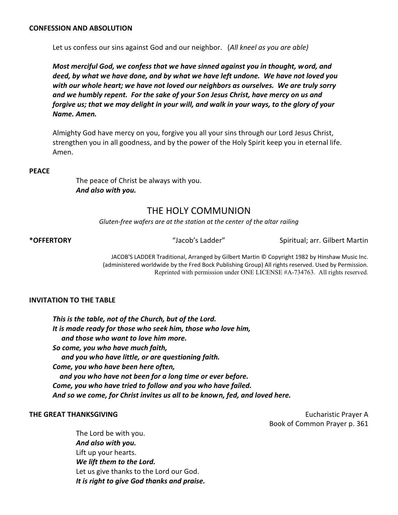Let us confess our sins against God and our neighbor. (*All kneel as you are able)*

*Most merciful God, we confess that we have sinned against you in thought, word, and deed, by what we have done, and by what we have left undone. We have not loved you with our whole heart; we have not loved our neighbors as ourselves. We are truly sorry and we humbly repent. For the sake of your Son Jesus Christ, have mercy on us and forgive us; that we may delight in your will, and walk in your ways, to the glory of your Name. Amen.*

Almighty God have mercy on you, forgive you all your sins through our Lord Jesus Christ, strengthen you in all goodness, and by the power of the Holy Spirit keep you in eternal life. Amen.

### **PEACE**

The peace of Christ be always with you. *And also with you.*

# THE HOLY COMMUNION

*Gluten-free wafers are at the station at the center of the altar railing*

**\*OFFERTORY** "Jacob's Ladder" Spiritual; arr. Gilbert Martin

JACOB'S LADDER Traditional, Arranged by Gilbert Martin © Copyright 1982 by Hinshaw Music Inc. (administered worldwide by the Fred Bock Publishing Group) All rights reserved. Used by Permission. Reprinted with permission under ONE LICENSE #A-734763. All rights reserved.

## **INVITATION TO THE TABLE**

*This is the table, not of the Church, but of the Lord. It is made ready for those who seek him, those who love him, and those who want to love him more. So come, you who have much faith, and you who have little, or are questioning faith. Come, you who have been here often, and you who have not been for a long time or ever before. Come, you who have tried to follow and you who have failed. And so we come, for Christ invites us all to be known, fed, and loved here.*

**THE GREAT THANKSGIVING EUCHARGE ALSO ASSESSED ASSESSED A** Eucharistic Prayer A Book of Common Prayer p. 361

> The Lord be with you. *And also with you.* Lift up your hearts. *We lift them to the Lord.* Let us give thanks to the Lord our God. *It is right to give God thanks and praise.*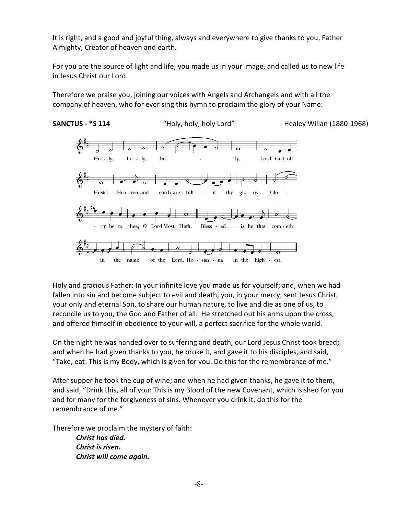It is right, and a good and joyful thing, always and everywhere to give thanks to you, Father Almighty, Creator of heaven and earth.

For you are the source of light and life; you made us in your image, and called us to new life in Jesus Christ our Lord.

Therefore we praise you, joining our voices with Angels and Archangels and with all the company of heaven, who for ever sing this hymn to proclaim the glory of your Name:



Holy and gracious Father: In your infinite love you made us for yourself; and, when we had fallen into sin and become subject to evil and death, you, in your mercy, sent Jesus Christ, your only and eternal Son, to share our human nature, to live and die as one of us, to reconcile us to you, the God and Father of all. He stretched out his arms upon the cross, and offered himself in obedience to your will, a perfect sacrifice for the whole world.

On the night he was handed over to suffering and death, our Lord Jesus Christ took bread; and when he had given thanks to you, he broke it, and gave it to his disciples, and said, "Take, eat: This is my Body, which is given for you. Do this for the remembrance of me."

After supper he took the cup of wine; and when he had given thanks, he gave it to them, and said, "Drink this, all of you: This is my Blood of the new Covenant, which is shed for you and for many for the forgiveness of sins. Whenever you drink it, do this for the remembrance of me."

Therefore we proclaim the mystery of faith:

*Christ has died. Christ is risen. Christ will come again.*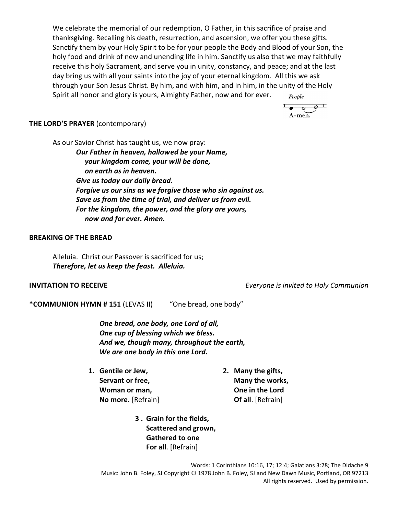We celebrate the memorial of our redemption, O Father, in this sacrifice of praise and thanksgiving. Recalling his death, resurrection, and ascension, we offer you these gifts. Sanctify them by your Holy Spirit to be for your people the Body and Blood of your Son, the holy food and drink of new and unending life in him. Sanctify us also that we may faithfully receive this holy Sacrament, and serve you in unity, constancy, and peace; and at the last day bring us with all your saints into the joy of your eternal kingdom. All this we ask through your Son Jesus Christ. By him, and with him, and in him, in the unity of the Holy Spirit all honor and glory is yours, Almighty Father, now and for ever. People

 $\frac{1}{\text{A-men.}}$ 

### **THE LORD'S PRAYER** (contemporary)

As our Savior Christ has taught us, we now pray:

*Our Father in heaven, hallowed be your Name, your kingdom come, your will be done, on earth as in heaven. Give us today our daily bread. Forgive us our sins as we forgive those who sin against us. Save us from the time of trial, and deliver us from evil. For the kingdom, the power, and the glory are yours, now and for ever. Amen.*

### **BREAKING OF THE BREAD**

Alleluia. Christ our Passover is sacrificed for us; *Therefore, let us keep the feast. Alleluia.*

**INVITATION TO RECEIVE** *Everyone is invited to Holy Communion*

**\*COMMUNION HYMN # 151** (LEVAS II) "One bread, one body"

*One bread, one body, one Lord of all, One cup of blessing which we bless. And we, though many, throughout the earth, We are one body in this one Lord.*

- **1. Gentile or Jew, Servant or free, Woman or man, No more.** [Refrain]  **2. Many the gifts, Many the works, One in the Lord Of all**. [Refrain]
	- **3 . Grain for the fields, Scattered and grown, Gathered to one For all**. [Refrain]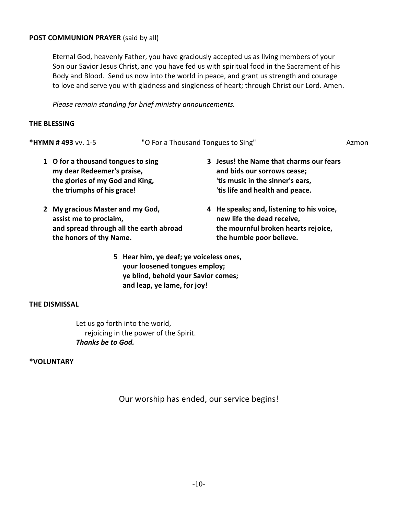# **POST COMMUNION PRAYER** (said by all)

Eternal God, heavenly Father, you have graciously accepted us as living members of your Son our Savior Jesus Christ, and you have fed us with spiritual food in the Sacrament of his Body and Blood. Send us now into the world in peace, and grant us strength and courage to love and serve you with gladness and singleness of heart; through Christ our Lord. Amen.

*Please remain standing for brief ministry announcements.*

## **THE BLESSING**

| *HYMN #493 vv. 1-5 |                                                                                                                                   | "O For a Thousand Tongues to Sing"                                     |                                                                                                                                               | Azmon |
|--------------------|-----------------------------------------------------------------------------------------------------------------------------------|------------------------------------------------------------------------|-----------------------------------------------------------------------------------------------------------------------------------------------|-------|
|                    | 1 O for a thousand tongues to sing<br>my dear Redeemer's praise,<br>the glories of my God and King,<br>the triumphs of his grace! |                                                                        | 3 Jesus! the Name that charms our fears<br>and bids our sorrows cease;<br>'tis music in the sinner's ears,<br>'tis life and health and peace. |       |
|                    | 2 My gracious Master and my God,<br>assist me to proclaim,<br>and spread through all the earth abroad<br>the honors of thy Name.  |                                                                        | 4 He speaks; and, listening to his voice,<br>new life the dead receive,<br>the mournful broken hearts rejoice,<br>the humble poor believe.    |       |
|                    | 5                                                                                                                                 | Hear him, ye deaf; ye voiceless ones,<br>vour loosanad tonguas amplove |                                                                                                                                               |       |

**your loosened tongues employ; ye blind, behold your Savior comes; and leap, ye lame, for joy!**

# **THE DISMISSAL**

Let us go forth into the world, rejoicing in the power of the Spirit. *Thanks be to God.*

# **\*VOLUNTARY**

Our worship has ended, our service begins!